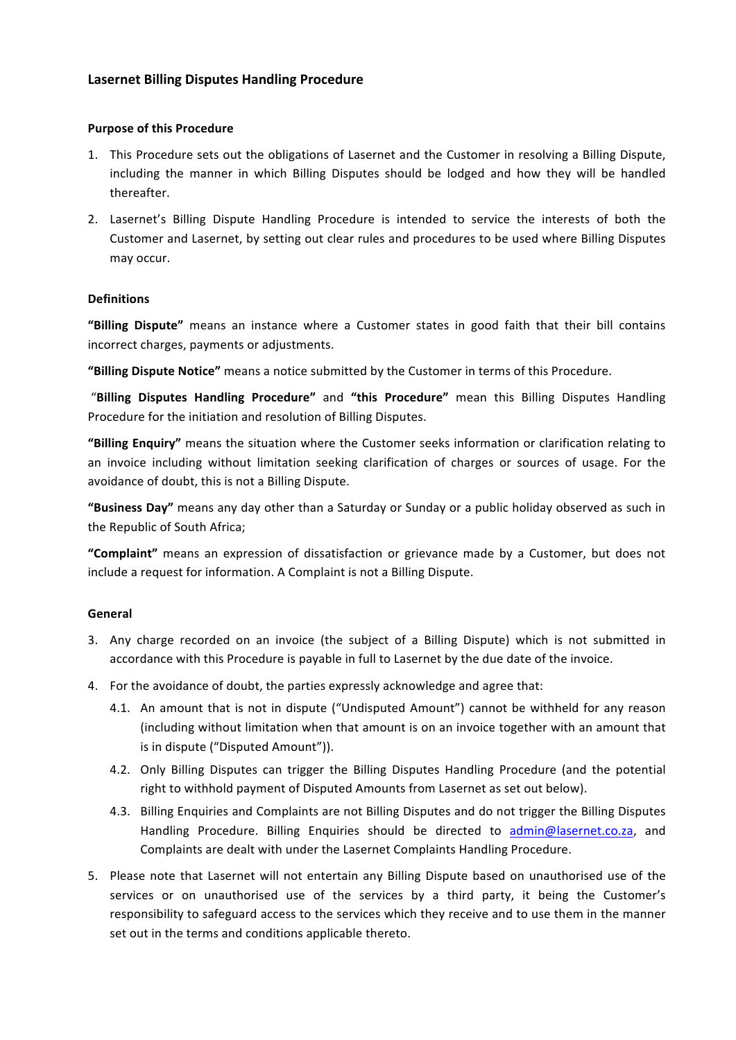# **Lasernet Billing Disputes Handling Procedure**

### **Purpose of this Procedure**

- 1. This Procedure sets out the obligations of Lasernet and the Customer in resolving a Billing Dispute, including the manner in which Billing Disputes should be lodged and how they will be handled thereafter.
- 2. Lasernet's Billing Dispute Handling Procedure is intended to service the interests of both the Customer and Lasernet, by setting out clear rules and procedures to be used where Billing Disputes may occur.

# **Definitions**

"Billing Dispute" means an instance where a Customer states in good faith that their bill contains incorrect charges, payments or adjustments.

"Billing Dispute Notice" means a notice submitted by the Customer in terms of this Procedure.

"Billing Disputes Handling Procedure" and "this Procedure" mean this Billing Disputes Handling Procedure for the initiation and resolution of Billing Disputes.

**"Billing Enquiry"** means the situation where the Customer seeks information or clarification relating to an invoice including without limitation seeking clarification of charges or sources of usage. For the avoidance of doubt, this is not a Billing Dispute.

"Business Day" means any day other than a Saturday or Sunday or a public holiday observed as such in the Republic of South Africa;

"Complaint" means an expression of dissatisfaction or grievance made by a Customer, but does not include a request for information. A Complaint is not a Billing Dispute.

### **General**

- 3. Any charge recorded on an invoice (the subject of a Billing Dispute) which is not submitted in accordance with this Procedure is payable in full to Lasernet by the due date of the invoice.
- 4. For the avoidance of doubt, the parties expressly acknowledge and agree that:
	- 4.1. An amount that is not in dispute ("Undisputed Amount") cannot be withheld for any reason (including without limitation when that amount is on an invoice together with an amount that is in dispute ("Disputed Amount")).
	- 4.2. Only Billing Disputes can trigger the Billing Disputes Handling Procedure (and the potential right to withhold payment of Disputed Amounts from Lasernet as set out below).
	- 4.3. Billing Enquiries and Complaints are not Billing Disputes and do not trigger the Billing Disputes Handling Procedure. Billing Enquiries should be directed to admin@lasernet.co.za, and Complaints are dealt with under the Lasernet Complaints Handling Procedure.
- 5. Please note that Lasernet will not entertain any Billing Dispute based on unauthorised use of the services or on unauthorised use of the services by a third party, it being the Customer's responsibility to safeguard access to the services which they receive and to use them in the manner set out in the terms and conditions applicable thereto.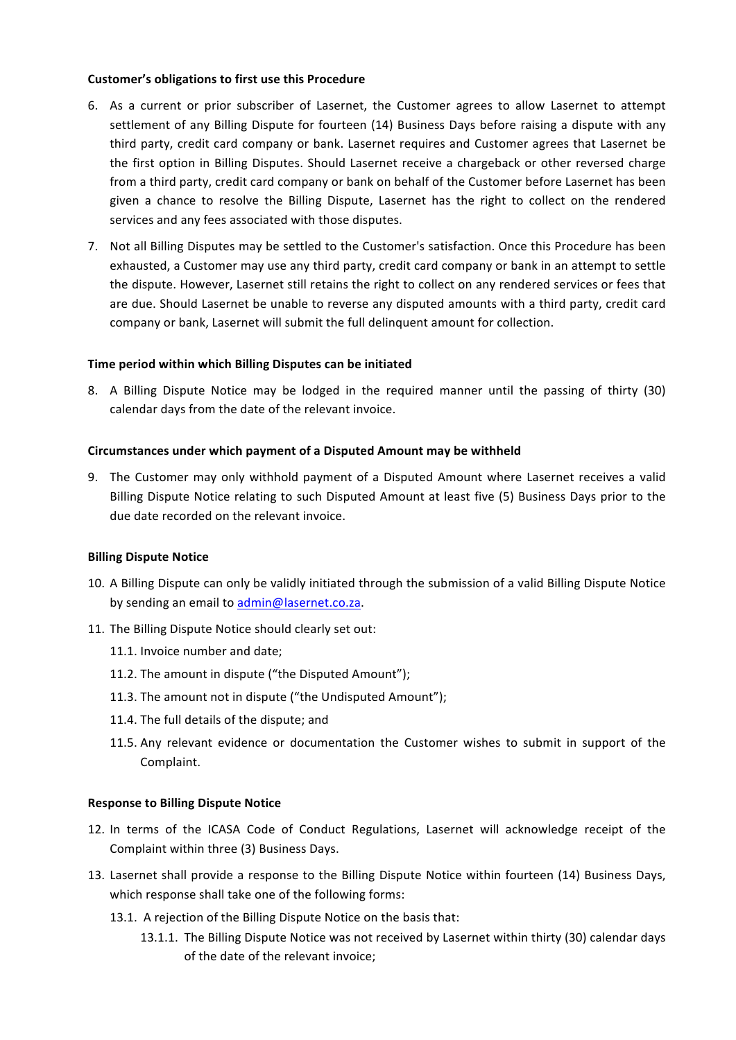### **Customer's obligations to first use this Procedure**

- 6. As a current or prior subscriber of Lasernet, the Customer agrees to allow Lasernet to attempt settlement of any Billing Dispute for fourteen (14) Business Days before raising a dispute with any third party, credit card company or bank. Lasernet requires and Customer agrees that Lasernet be the first option in Billing Disputes. Should Lasernet receive a chargeback or other reversed charge from a third party, credit card company or bank on behalf of the Customer before Lasernet has been given a chance to resolve the Billing Dispute, Lasernet has the right to collect on the rendered services and any fees associated with those disputes.
- 7. Not all Billing Disputes may be settled to the Customer's satisfaction. Once this Procedure has been exhausted, a Customer may use any third party, credit card company or bank in an attempt to settle the dispute. However, Lasernet still retains the right to collect on any rendered services or fees that are due. Should Lasernet be unable to reverse any disputed amounts with a third party, credit card company or bank, Lasernet will submit the full delinquent amount for collection.

### **Time period within which Billing Disputes can be initiated**

8. A Billing Dispute Notice may be lodged in the required manner until the passing of thirty (30) calendar days from the date of the relevant invoice.

### Circumstances under which payment of a Disputed Amount may be withheld

9. The Customer may only withhold payment of a Disputed Amount where Lasernet receives a valid Billing Dispute Notice relating to such Disputed Amount at least five (5) Business Days prior to the due date recorded on the relevant invoice.

### **Billing Dispute Notice**

- 10. A Billing Dispute can only be validly initiated through the submission of a valid Billing Dispute Notice by sending an email to admin@lasernet.co.za.
- 11. The Billing Dispute Notice should clearly set out:
	- 11.1. Invoice number and date;
	- 11.2. The amount in dispute ("the Disputed Amount");
	- 11.3. The amount not in dispute ("the Undisputed Amount"):
	- 11.4. The full details of the dispute; and
	- 11.5. Any relevant evidence or documentation the Customer wishes to submit in support of the Complaint.

### **Response to Billing Dispute Notice**

- 12. In terms of the ICASA Code of Conduct Regulations, Lasernet will acknowledge receipt of the Complaint within three (3) Business Days.
- 13. Lasernet shall provide a response to the Billing Dispute Notice within fourteen (14) Business Days, which response shall take one of the following forms:
	- 13.1. A rejection of the Billing Dispute Notice on the basis that:
		- 13.1.1. The Billing Dispute Notice was not received by Lasernet within thirty (30) calendar days of the date of the relevant invoice: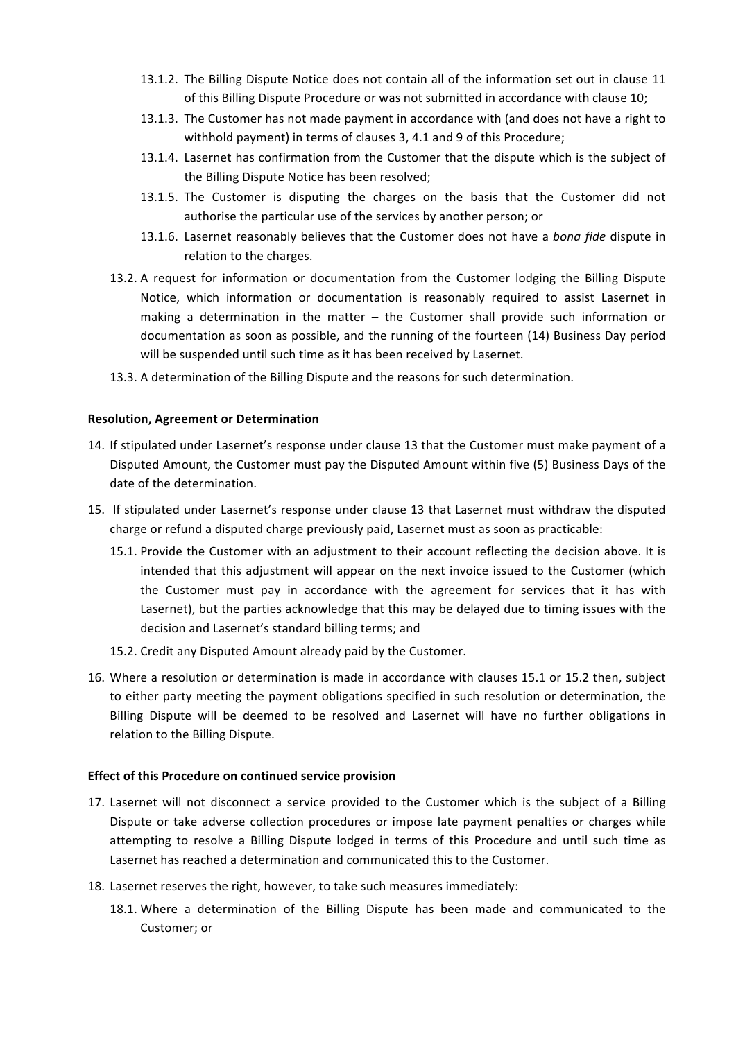- 13.1.2. The Billing Dispute Notice does not contain all of the information set out in clause 11 of this Billing Dispute Procedure or was not submitted in accordance with clause 10;
- 13.1.3. The Customer has not made payment in accordance with (and does not have a right to withhold payment) in terms of clauses 3, 4.1 and 9 of this Procedure;
- 13.1.4. Lasernet has confirmation from the Customer that the dispute which is the subject of the Billing Dispute Notice has been resolved;
- 13.1.5. The Customer is disputing the charges on the basis that the Customer did not authorise the particular use of the services by another person; or
- 13.1.6. Lasernet reasonably believes that the Customer does not have a bona fide dispute in relation to the charges.
- 13.2. A request for information or documentation from the Customer lodging the Billing Dispute Notice, which information or documentation is reasonably required to assist Lasernet in making a determination in the matter  $-$  the Customer shall provide such information or documentation as soon as possible, and the running of the fourteen (14) Business Day period will be suspended until such time as it has been received by Lasernet.
- 13.3. A determination of the Billing Dispute and the reasons for such determination.

#### **Resolution, Agreement or Determination**

- 14. If stipulated under Lasernet's response under clause 13 that the Customer must make payment of a Disputed Amount, the Customer must pay the Disputed Amount within five (5) Business Days of the date of the determination.
- 15. If stipulated under Lasernet's response under clause 13 that Lasernet must withdraw the disputed charge or refund a disputed charge previously paid, Lasernet must as soon as practicable:
	- 15.1. Provide the Customer with an adjustment to their account reflecting the decision above. It is intended that this adjustment will appear on the next invoice issued to the Customer (which the Customer must pay in accordance with the agreement for services that it has with Lasernet), but the parties acknowledge that this may be delayed due to timing issues with the decision and Lasernet's standard billing terms; and
	- 15.2. Credit any Disputed Amount already paid by the Customer.
- 16. Where a resolution or determination is made in accordance with clauses 15.1 or 15.2 then, subject to either party meeting the payment obligations specified in such resolution or determination, the Billing Dispute will be deemed to be resolved and Lasernet will have no further obligations in relation to the Billing Dispute.

#### **Effect of this Procedure on continued service provision**

- 17. Lasernet will not disconnect a service provided to the Customer which is the subject of a Billing Dispute or take adverse collection procedures or impose late payment penalties or charges while attempting to resolve a Billing Dispute lodged in terms of this Procedure and until such time as Lasernet has reached a determination and communicated this to the Customer.
- 18. Lasernet reserves the right, however, to take such measures immediately:
	- 18.1. Where a determination of the Billing Dispute has been made and communicated to the Customer; or